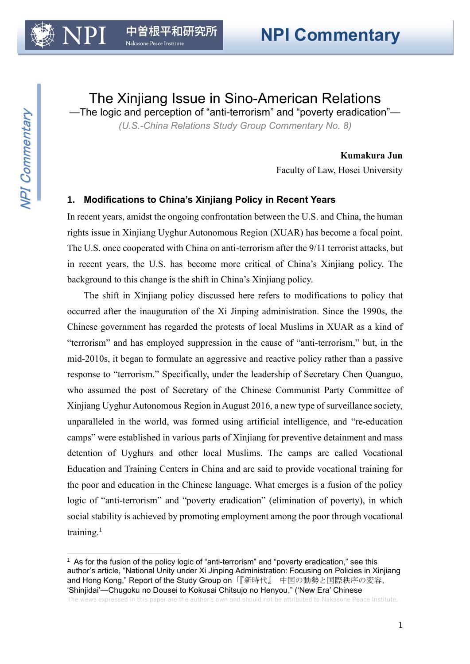The Xinjiang Issue in Sino-American Relations

—The logic and perception of "anti-terrorism" and "poverty eradication"— *(U.S.-China Relations Study Group Commentary No. 8)*

### **Kumakura Jun**

Faculty of Law, Hosei University

# **1. Modifications to China's Xinjiang Policy in Recent Years**

In recent years, amidst the ongoing confrontation between the U.S. and China, the human rights issue in Xinjiang Uyghur Autonomous Region (XUAR) has become a focal point. The U.S. once cooperated with China on anti-terrorism after the 9/11 terrorist attacks, but in recent years, the U.S. has become more critical of China's Xinjiang policy. The background to this change is the shift in China's Xinjiang policy.

The shift in Xinjiang policy discussed here refers to modifications to policy that occurred after the inauguration of the Xi Jinping administration. Since the 1990s, the Chinese government has regarded the protests of local Muslims in XUAR as a kind of "terrorism" and has employed suppression in the cause of "anti-terrorism," but, in the mid-2010s, it began to formulate an aggressive and reactive policy rather than a passive response to "terrorism." Specifically, under the leadership of Secretary Chen Quanguo, who assumed the post of Secretary of the Chinese Communist Party Committee of Xinjiang Uyghur Autonomous Region in August 2016, a new type of surveillance society, unparalleled in the world, was formed using artificial intelligence, and "re-education camps" were established in various parts of Xinjiang for preventive detainment and mass detention of Uyghurs and other local Muslims. The camps are called Vocational Education and Training Centers in China and are said to provide vocational training for the poor and education in the Chinese language. What emerges is a fusion of the policy logic of "anti-terrorism" and "poverty eradication" (elimination of poverty), in which social stability is achieved by promoting employment among the poor through vocational training.<sup>1</sup>

<sup>1</sup> As for the fusion of the policy logic of "anti-terrorism" and "poverty eradication," see this author's article, "National Unity under Xi Jinping Administration: Focusing on Policies in Xinjiang and Hong Kong," Report of the Study Group on「『新時代』 中国の動勢と国際秩序の変容, 'Shinjidai'—Chugoku no Dousei to Kokusai Chitsujo no Henyou," ('New Era' Chinese

The views expressed in this paper are the author's own and should not be attributed to Nakasone Peace Institute.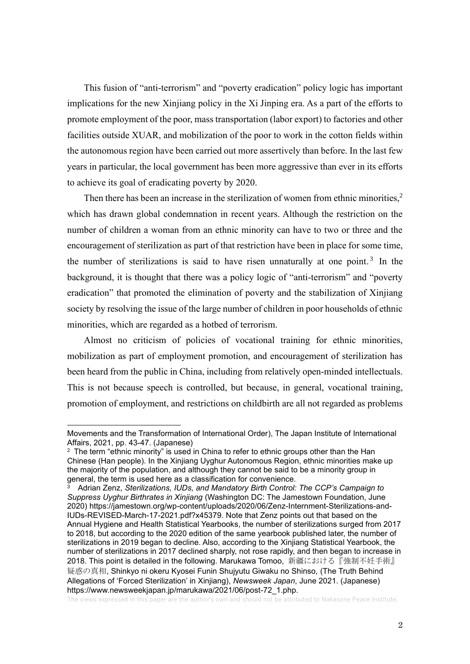This fusion of "anti-terrorism" and "poverty eradication" policy logic has important implications for the new Xinjiang policy in the Xi Jinping era. As a part of the efforts to promote employment of the poor, mass transportation (labor export) to factories and other facilities outside XUAR, and mobilization of the poor to work in the cotton fields within the autonomous region have been carried out more assertively than before. In the last few years in particular, the local government has been more aggressive than ever in its efforts to achieve its goal of eradicating poverty by 2020.

Then there has been an increase in the sterilization of women from ethnic minorities, $2$ which has drawn global condemnation in recent years. Although the restriction on the number of children a woman from an ethnic minority can have to two or three and the encouragement of sterilization as part of that restriction have been in place for some time, the number of sterilizations is said to have risen unnaturally at one point.<sup>3</sup> In the background, it is thought that there was a policy logic of "anti-terrorism" and "poverty eradication" that promoted the elimination of poverty and the stabilization of Xinjiang society by resolving the issue of the large number of children in poor households of ethnic minorities, which are regarded as a hotbed of terrorism.

Almost no criticism of policies of vocational training for ethnic minorities, mobilization as part of employment promotion, and encouragement of sterilization has been heard from the public in China, including from relatively open-minded intellectuals. This is not because speech is controlled, but because, in general, vocational training, promotion of employment, and restrictions on childbirth are all not regarded as problems

Movements and the Transformation of International Order), The Japan Institute of International Affairs, 2021, pp. 43-47. (Japanese)

 $2$  The term "ethnic minority" is used in China to refer to ethnic groups other than the Han Chinese (Han people). In the Xinjiang Uyghur Autonomous Region, ethnic minorities make up the majority of the population, and although they cannot be said to be a minority group in general, the term is used here as a classification for convenience.

<sup>3</sup> Adrian Zenz, *Sterilizations, IUDs, and Mandatory Birth Control: The CCP's Campaign to Suppress Uyghur Birthrates in Xinjiang* (Washington DC: The Jamestown Foundation, June 2020) [https://jamestown.org/wp-content/uploads/2020/06/Zenz-Internment-Sterilizations-and-](https://jamestown.org/wp-content/uploads/2020/06/Zenz-Internment-Sterilizations-and-IUDs-REVISED-March-17-2021.pdf?x45379)[IUDs-REVISED-March-17-2021.pdf?x45379.](https://jamestown.org/wp-content/uploads/2020/06/Zenz-Internment-Sterilizations-and-IUDs-REVISED-March-17-2021.pdf?x45379) Note that Zenz points out that based on the Annual Hygiene and Health Statistical Yearbooks, the number of sterilizations surged from 2017 to 2018, but according to the 2020 edition of the same yearbook published later, the number of sterilizations in 2019 began to decline. Also, according to the Xinjiang Statistical Yearbook, the number of sterilizations in 2017 declined sharply, not rose rapidly, and then began to increase in 2018. This point is detailed in the following. Marukawa Tomoo, 新疆における『強制不妊手術』 疑惑の真相, Shinkyo ni okeru Kyosei Funin Shujyutu Giwaku no Shinso, (The Truth Behind Allegations of 'Forced Sterilization' in Xinjiang), *Newsweek Japan*, June 2021. (Japanese) [https://www.newsweekjapan.jp/marukawa/2021/06/post-72\\_1.php.](https://www.newsweekjapan.jp/marukawa/2021/06/post-72_1.php)

The views expressed in this paper are the author's own and should not be attributed to Nakasone Peace Institute.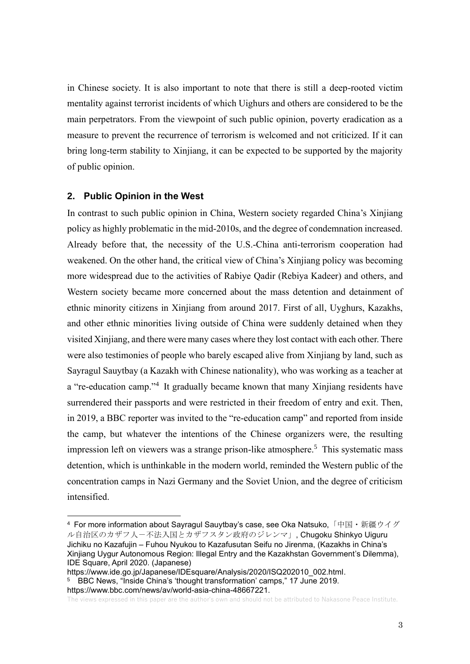in Chinese society. It is also important to note that there is still a deep-rooted victim mentality against terrorist incidents of which Uighurs and others are considered to be the main perpetrators. From the viewpoint of such public opinion, poverty eradication as a measure to prevent the recurrence of terrorism is welcomed and not criticized. If it can bring long-term stability to Xinjiang, it can be expected to be supported by the majority of public opinion.

### **2. Public Opinion in the West**

In contrast to such public opinion in China, Western society regarded China's Xinjiang policy as highly problematic in the mid-2010s, and the degree of condemnation increased. Already before that, the necessity of the U.S.-China anti-terrorism cooperation had weakened. On the other hand, the critical view of China's Xinjiang policy was becoming more widespread due to the activities of Rabiye Qadir (Rebiya Kadeer) and others, and Western society became more concerned about the mass detention and detainment of ethnic minority citizens in Xinjiang from around 2017. First of all, Uyghurs, Kazakhs, and other ethnic minorities living outside of China were suddenly detained when they visited Xinjiang, and there were many cases where they lost contact with each other. There were also testimonies of people who barely escaped alive from Xinjiang by land, such as Sayragul Sauytbay (a Kazakh with Chinese nationality), who was working as a teacher at a "re-education camp."<sup>4</sup> It gradually became known that many Xinjiang residents have surrendered their passports and were restricted in their freedom of entry and exit. Then, in 2019, a BBC reporter was invited to the "re-education camp" and reported from inside the camp, but whatever the intentions of the Chinese organizers were, the resulting impression left on viewers was a strange prison-like atmosphere. <sup>5</sup> This systematic mass detention, which is unthinkable in the modern world, reminded the Western public of the concentration camps in Nazi Germany and the Soviet Union, and the degree of criticism intensified.

[https://www.bbc.com/news/av/world-asia-china-48667221.](https://www.bbc.com/news/av/world-asia-china-48667221)

The views expressed in this paper are the author's own and should not be attributed to Nakasone Peace Institute.

<sup>4</sup> For more information about Sayragul Sauytbay's case, see Oka Natsuko,「中国・新疆ウイグ ル自治区のカザフ人-不法入国とカザフスタン政府のジレンマ」, Chugoku Shinkyo Uiguru Jichiku no Kazafujin – Fuhou Nyukou to Kazafusutan Seifu no Jirenma, (Kazakhs in China's Xinjiang Uygur Autonomous Region: Illegal Entry and the Kazakhstan Government's Dilemma), IDE Square, April 2020. (Japanese)

[https://www.ide.go.jp/Japanese/IDEsquare/Analysis/2020/ISQ202010\\_002.html.](https://www.ide.go.jp/Japanese/IDEsquare/Analysis/2020/ISQ202010_002.html) 5 BBC News, "Inside China's 'thought transformation' camps," 17 June 2019.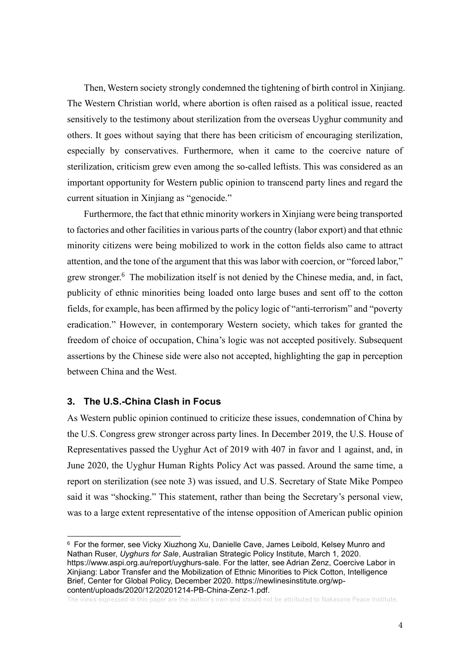Then, Western society strongly condemned the tightening of birth control in Xinjiang. The Western Christian world, where abortion is often raised as a political issue, reacted sensitively to the testimony about sterilization from the overseas Uyghur community and others. It goes without saying that there has been criticism of encouraging sterilization, especially by conservatives. Furthermore, when it came to the coercive nature of sterilization, criticism grew even among the so-called leftists. This was considered as an important opportunity for Western public opinion to transcend party lines and regard the current situation in Xinjiang as "genocide."

Furthermore, the fact that ethnic minority workers in Xinjiang were being transported to factories and other facilities in various parts of the country (labor export) and that ethnic minority citizens were being mobilized to work in the cotton fields also came to attract attention, and the tone of the argument that this was labor with coercion, or "forced labor," grew stronger. <sup>6</sup> The mobilization itself is not denied by the Chinese media, and, in fact, publicity of ethnic minorities being loaded onto large buses and sent off to the cotton fields, for example, has been affirmed by the policy logic of "anti-terrorism" and "poverty eradication." However, in contemporary Western society, which takes for granted the freedom of choice of occupation, China's logic was not accepted positively. Subsequent assertions by the Chinese side were also not accepted, highlighting the gap in perception between China and the West.

## **3. The U.S.-China Clash in Focus**

As Western public opinion continued to criticize these issues, condemnation of China by the U.S. Congress grew stronger across party lines. In December 2019, the U.S. House of Representatives passed the Uyghur Act of 2019 with 407 in favor and 1 against, and, in June 2020, the Uyghur Human Rights Policy Act was passed. Around the same time, a report on sterilization (see note 3) was issued, and U.S. Secretary of State Mike Pompeo said it was "shocking." This statement, rather than being the Secretary's personal view, was to a large extent representative of the intense opposition of American public opinion

<sup>6</sup> For the former, see Vicky Xiuzhong Xu, Danielle Cave, James Leibold, Kelsey Munro and Nathan Ruser, *Uyghurs for Sale*, Australian Strategic Policy Institute, March 1, 202[0.](https://www.aspi.org.au/report/uyghurs-sale)  [https://www.aspi.org.au/report/uyghurs-sale.](https://www.aspi.org.au/report/uyghurs-sale) For the latter, see Adrian Zenz, Coercive Labor in Xinjiang: Labor Transfer and the Mobilization of Ethnic Minorities to Pick Cotton, Intelligence Brief, Center for Global Policy, December 2020. https://newlinesinstitute.org/wpcontent/uploads/2020/12/20201214-PB-China-Zenz-1.pdf.

The views expressed in this paper are the author's own and should not be attributed to Nakasone Peace Institute.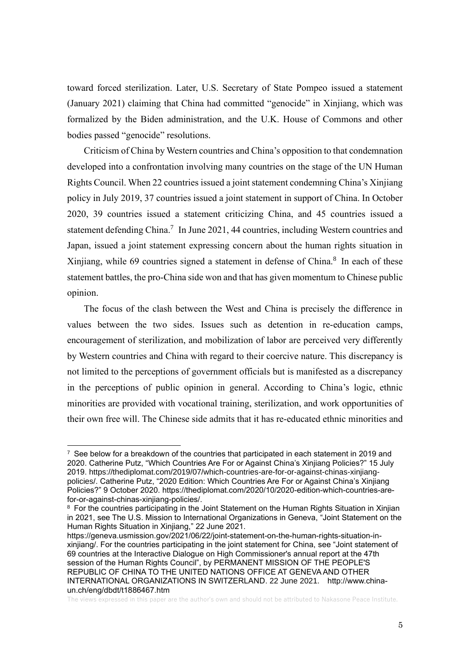toward forced sterilization. Later, U.S. Secretary of State Pompeo issued a statement (January 2021) claiming that China had committed "genocide" in Xinjiang, which was formalized by the Biden administration, and the U.K. House of Commons and other bodies passed "genocide" resolutions.

Criticism of China by Western countries and China's opposition to that condemnation developed into a confrontation involving many countries on the stage of the UN Human Rights Council. When 22 countries issued a joint statement condemning China's Xinjiang policy in July 2019, 37 countries issued a joint statement in support of China. In October 2020, 39 countries issued a statement criticizing China, and 45 countries issued a statement defending China.<sup>7</sup> In June 2021, 44 countries, including Western countries and Japan, issued a joint statement expressing concern about the human rights situation in Xinjiang, while 69 countries signed a statement in defense of China.<sup>8</sup> In each of these statement battles, the pro-China side won and that has given momentum to Chinese public opinion.

The focus of the clash between the West and China is precisely the difference in values between the two sides. Issues such as detention in re-education camps, encouragement of sterilization, and mobilization of labor are perceived very differently by Western countries and China with regard to their coercive nature. This discrepancy is not limited to the perceptions of government officials but is manifested as a discrepancy in the perceptions of public opinion in general. According to China's logic, ethnic minorities are provided with vocational training, sterilization, and work opportunities of their own free will. The Chinese side admits that it has re-educated ethnic minorities and

 $7$  See below for a breakdown of the countries that participated in each statement in 2019 and 2020. Catherine Putz, "Which Countries Are For or Against China's Xinjiang Policies?" 15 July 2019. [https://thediplomat.com/2019/07/which-countries-are-for-or-against-chinas-xinjiang](https://thediplomat.com/2019/07/which-countries-are-for-or-against-chinas-xinjiang-policies/)[policies/.](https://thediplomat.com/2019/07/which-countries-are-for-or-against-chinas-xinjiang-policies/) Catherine Putz, "2020 Edition: Which Countries Are For or Against China's Xinjiang Policies?" 9 October 2020. [https://thediplomat.com/2020/10/2020-edition-which-countries-are](https://thediplomat.com/2020/10/2020-edition-which-countries-are-for-or-against-chinas-xinjiang-policies/)[for-or-against-chinas-xinjiang-policies/.](https://thediplomat.com/2020/10/2020-edition-which-countries-are-for-or-against-chinas-xinjiang-policies/)

<sup>&</sup>lt;sup>8</sup> [F](http://www.china-un.ch/chn/dbdt/t1886464.htm?fbclid=IwAR3BJ7mg0qrgf_hj9X0517TjrUuU9VVDRFdjm-ioZauyABNphhQclT4AD7Y)or the countries participating in the Joint Statement on the Human Rights Situation in Xinjian in 2021, see The U.S. Mission to International Organizations in Geneva, "Joint Statement on the Human Rights Situation in Xinjiang," 22 June 2021.

[https://geneva.usmission.gov/2021/06/22/joint-statement-on-the-human-rights-situation-in](https://geneva.usmission.gov/2021/06/22/joint-statement-on-the-human-rights-situation-in-xinjiang/)[xinjiang/.](https://geneva.usmission.gov/2021/06/22/joint-statement-on-the-human-rights-situation-in-xinjiang/) For the countries participating in the joint statement for China, see "Joint statement of 69 countries at the Interactive Dialogue on High Commissioner's annual report at the 47th session of the Human Rights Council", by PERMANENT MISSION OF THE PEOPLE'S REPUBLIC OF CHINA TO THE UNITED NATIONS OFFICE AT GENEVA AND OTHER INTERNATIONAL ORGANIZATIONS IN SWITZERLAND. 22 June 2021. [http://www.china](http://www.china-un.ch/eng/dbdt/t1886467.htm)[un.ch/eng/dbdt/t1886467.htm](http://www.china-un.ch/eng/dbdt/t1886467.htm) 

The views expressed in this paper are the author's own and should not be attributed to Nakasone Peace Institute.